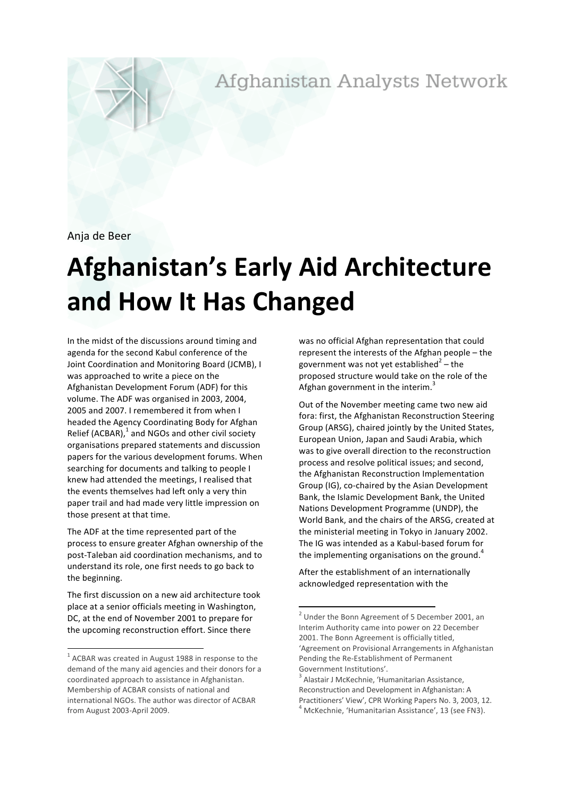Afghanistan Analysts Network

Anja de Beer

# **Afghanistan's+Early+Aid+Architecture+** and How It Has Changed

In the midst of the discussions around timing and agenda for the second Kabul conference of the Joint Coordination and Monitoring Board (JCMB), I was approached to write a piece on the Afghanistan Development Forum (ADF) for this volume. The ADF was organised in 2003, 2004, 2005 and 2007. I remembered it from when I headed the Agency Coordinating Body for Afghan Relief (ACBAR), $1$  and NGOs and other civil society organisations prepared statements and discussion papers for the various development forums. When searching for documents and talking to people I knew had attended the meetings, I realised that the events themselves had left only a very thin paper trail and had made very little impression on those present at that time.

The ADF at the time represented part of the process to ensure greater Afghan ownership of the post-Taleban aid coordination mechanisms, and to understand its role, one first needs to go back to the beginning.

The first discussion on a new aid architecture took place at a senior officials meeting in Washington, DC, at the end of November 2001 to prepare for the upcoming reconstruction effort. Since there

was no official Afghan representation that could represent the interests of the Afghan people  $-$  the government was not yet established<sup>2</sup> – the proposed structure would take on the role of the Afghan government in the interim.<sup>3</sup>

Out of the November meeting came two new aid fora: first, the Afghanistan Reconstruction Steering Group (ARSG), chaired jointly by the United States, European Union, Japan and Saudi Arabia, which was to give overall direction to the reconstruction process and resolve political issues; and second, the Afghanistan Reconstruction Implementation Group (IG), co-chaired by the Asian Development Bank, the Islamic Development Bank, the United Nations Development Programme (UNDP), the World Bank, and the chairs of the ARSG, created at the ministerial meeting in Tokyo in January 2002. The IG was intended as a Kabul-based forum for the implementing organisations on the ground.<sup>4</sup>

After the establishment of an internationally acknowledged representation with the

 $1$  ACBAR was created in August 1988 in response to the demand of the many aid agencies and their donors for a coordinated approach to assistance in Afghanistan. Membership of ACBAR consists of national and international NGOs. The author was director of ACBAR from August 2003-April 2009.

<sup>&</sup>lt;sup>2</sup> Under the Bonn Agreement of 5 December 2001, an Interim Authority came into power on 22 December 2001. The Bonn Agreement is officially titled, 'Agreement on Provisional Arrangements in Afghanistan Pending the Re-Establishment of Permanent Government Institutions'.

Alastair J McKechnie, 'Humanitarian Assistance, Reconstruction and Development in Afghanistan: A Practitioners' View', CPR Working Papers No. 3, 2003, 12. 4 McKechnie, 'Humanitarian Assistance', 13 (see FN3).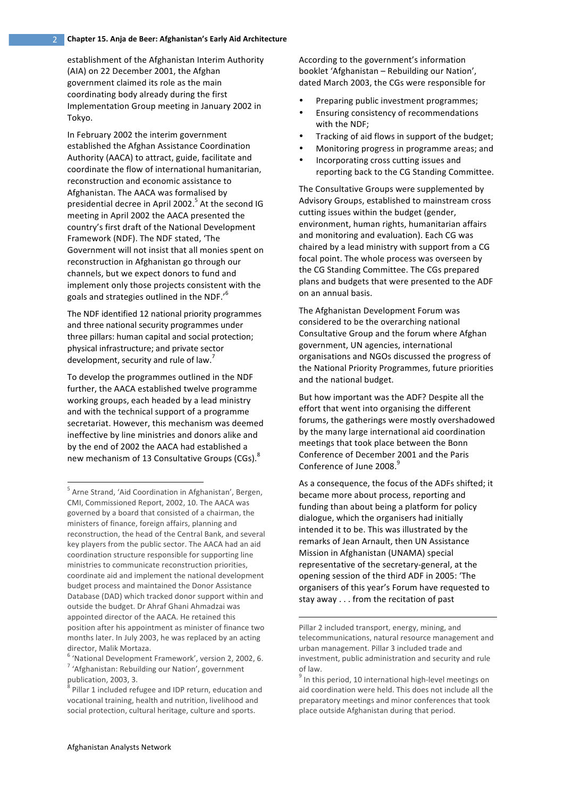#### **Chapter+15.+Anja+de+Beer:+Afghanistan's Early+Aid+Architecture** 2

establishment of the Afghanistan Interim Authority (AIA) on 22 December 2001, the Afghan government claimed its role as the main coordinating body already during the first Implementation Group meeting in January 2002 in Tokyo.

In February 2002 the interim government established the Afghan Assistance Coordination Authority (AACA) to attract, guide, facilitate and coordinate the flow of international humanitarian, reconstruction and economic assistance to Afghanistan. The AACA was formalised by presidential decree in April 2002.<sup>5</sup> At the second IG meeting in April 2002 the AACA presented the country's first draft of the National Development Framework (NDF). The NDF stated, 'The Government will not insist that all monies spent on reconstruction in Afghanistan go through our channels, but we expect donors to fund and implement only those projects consistent with the goals and strategies outlined in the NDF.'<sup>6</sup>

The NDF identified 12 national priority programmes and three national security programmes under three pillars: human capital and social protection; physical infrastructure; and private sector development, security and rule of law.<sup>7</sup>

To develop the programmes outlined in the NDF further, the AACA established twelve programme working groups, each headed by a lead ministry and with the technical support of a programme secretariat. However, this mechanism was deemed ineffective by line ministries and donors alike and by the end of 2002 the AACA had established a new mechanism of 13 Consultative Groups (CGs).<sup>8</sup>

According to the government's information booklet 'Afghanistan – Rebuilding our Nation', dated March 2003, the CGs were responsible for

- Preparing public investment programmes:
- Ensuring consistency of recommendations with the NDF:
- Tracking of aid flows in support of the budget;
- Monitoring progress in programme areas; and
- Incorporating cross cutting issues and reporting back to the CG Standing Committee.

The Consultative Groups were supplemented by Advisory Groups, established to mainstream cross cutting issues within the budget (gender, environment, human rights, humanitarian affairs and monitoring and evaluation). Each CG was chaired by a lead ministry with support from a CG focal point. The whole process was overseen by the CG Standing Committee. The CGs prepared plans and budgets that were presented to the ADF on an annual basis.

The Afghanistan Development Forum was considered to be the overarching national Consultative Group and the forum where Afghan government, UN agencies, international organisations and NGOs discussed the progress of the National Priority Programmes, future priorities and the national budget.

But how important was the ADF? Despite all the effort that went into organising the different forums, the gatherings were mostly overshadowed by the many large international aid coordination meetings that took place between the Bonn Conference of December 2001 and the Paris Conference of June 2008.<sup>9</sup>

As a consequence, the focus of the ADFs shifted; it became more about process, reporting and funding than about being a platform for policy dialogue, which the organisers had initially intended it to be. This was illustrated by the remarks of Jean Arnault, then UN Assistance Mission in Afghanistan (UNAMA) special representative of the secretary-general, at the opening session of the third ADF in 2005: 'The organisers of this year's Forum have requested to stay away  $\ldots$  from the recitation of past

!!!!!!!!!!!!!!!!!!!!!!!!!!!!!!!!!!!!!!!!!!!!!!!!!!!!!!!!!!!!!!!!!!!!!!!!!!!!!!!!!!!!!!!!

 $<sup>5</sup>$  Arne Strand, 'Aid Coordination in Afghanistan', Bergen,</sup> CMI, Commissioned Report, 2002, 10. The AACA was governed by a board that consisted of a chairman, the ministers of finance, foreign affairs, planning and reconstruction, the head of the Central Bank, and several key players from the public sector. The AACA had an aid coordination structure responsible for supporting line ministries to communicate reconstruction priorities, coordinate aid and implement the national development budget process and maintained the Donor Assistance Database (DAD) which tracked donor support within and outside the budget. Dr Ahraf Ghani Ahmadzai was appointed director of the AACA. He retained this position after his appointment as minister of finance two months later. In July 2003, he was replaced by an acting director, Malik Mortaza.

 $6$  'National Development Framework', version 2, 2002, 6.

 $7$  'Afghanistan: Rebuilding our Nation', government publication, 2003, 3.

 $8$  Pillar 1 included refugee and IDP return, education and vocational training, health and nutrition, livelihood and social protection, cultural heritage, culture and sports.

Pillar 2 included transport, energy, mining, and telecommunications, natural resource management and urban management. Pillar 3 included trade and investment, public administration and security and rule of law.

 $9$  In this period, 10 international high-level meetings on aid coordination were held. This does not include all the preparatory meetings and minor conferences that took place outside Afghanistan during that period.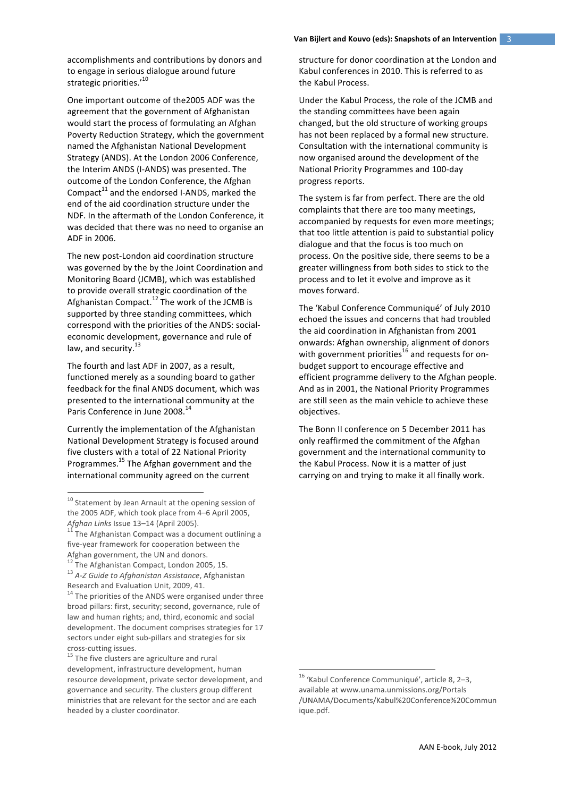accomplishments and contributions by donors and to engage in serious dialogue around future strategic priorities.'<sup>10</sup>

One important outcome of the2005 ADF was the agreement that the government of Afghanistan would start the process of formulating an Afghan Poverty Reduction Strategy, which the government named the Afghanistan National Development Strategy (ANDS). At the London 2006 Conference, the Interim ANDS (I-ANDS) was presented. The outcome of the London Conference, the Afghan Compact<sup>11</sup> and the endorsed I-ANDS, marked the end of the aid coordination structure under the NDF. In the aftermath of the London Conference, it was decided that there was no need to organise an ADF in 2006.

The new post-London aid coordination structure was governed by the by the Joint Coordination and Monitoring Board (JCMB), which was established to provide overall strategic coordination of the Afghanistan Compact.<sup>12</sup> The work of the JCMB is supported by three standing committees, which correspond with the priorities of the ANDS: socialeconomic development, governance and rule of law, and security. $^{13}$ 

The fourth and last ADF in 2007, as a result, functioned merely as a sounding board to gather feedback for the final ANDS document, which was presented to the international community at the Paris Conference in June 2008.<sup>14</sup>

Currently the implementation of the Afghanistan National Development Strategy is focused around five clusters with a total of 22 National Priority Programmes.<sup>15</sup> The Afghan government and the international community agreed on the current

structure for donor coordination at the London and Kabul conferences in 2010. This is referred to as the Kabul Process.

Under the Kabul Process, the role of the JCMB and the standing committees have been again changed, but the old structure of working groups has not been replaced by a formal new structure. Consultation with the international community is now organised around the development of the National Priority Programmes and 100-day progress reports.

The system is far from perfect. There are the old complaints that there are too many meetings, accompanied by requests for even more meetings; that too little attention is paid to substantial policy dialogue and that the focus is too much on process. On the positive side, there seems to be a greater willingness from both sides to stick to the process and to let it evolve and improve as it moves forward.

The 'Kabul Conference Communiqué' of July 2010 echoed the issues and concerns that had troubled. the aid coordination in Afghanistan from 2001 onwards: Afghan ownership, alignment of donors with government priorities<sup>16</sup> and requests for onbudget support to encourage effective and efficient programme delivery to the Afghan people. And as in 2001, the National Priority Programmes are still seen as the main vehicle to achieve these objectives.

The Bonn II conference on 5 December 2011 has only reaffirmed the commitment of the Afghan government and the international community to the Kabul Process. Now it is a matter of just carrying on and trying to make it all finally work.

<sup>&</sup>lt;sup>10</sup> Statement by Jean Arnault at the opening session of the 2005 ADF, which took place from 4–6 April 2005, *Afghan Links* Issue 13–14 (April 2005). <sup>11</sup> The Afghanistan Compact was a document outlining a

five-year framework for cooperation between the Afghan government, the UN and donors.

<sup>&</sup>lt;sup>12</sup> The Afghanistan Compact, London 2005, 15.<br><sup>13</sup> A-Z Guide to Afghanistan Assistance, Afghanistan

Research and Evaluation Unit, 2009, 41.  $14$  The priorities of the ANDS were organised under three broad pillars: first, security; second, governance, rule of law and human rights; and, third, economic and social development. The document comprises strategies for 17 sectors under eight sub-pillars and strategies for six

cross-cutting issues.  $15$  The five clusters are agriculture and rural development, infrastructure development, human resource development, private sector development, and governance and security. The clusters group different ministries that are relevant for the sector and are each headed by a cluster coordinator.

<sup>&</sup>lt;sup>16</sup> 'Kabul Conference Communiqué', article 8, 2–3, available!at www.unama.unmissions.org/Portals /UNAMA/Documents/Kabul%20Conference%20Commun ique.pdf.